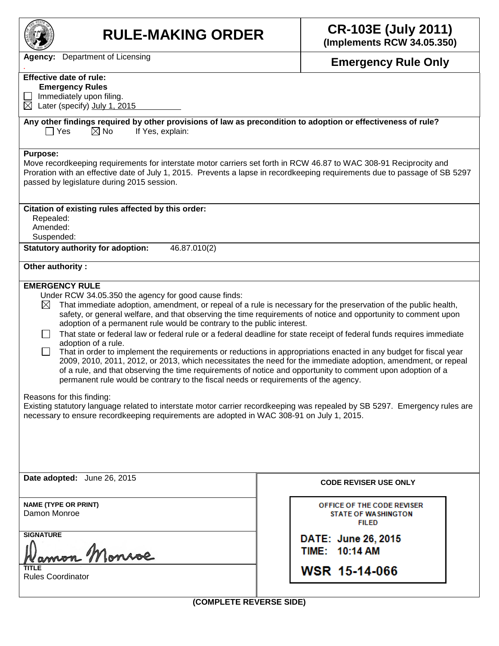

**RULE-MAKING ORDER CR-103E (July 2011) (Implements RCW 34.05.350)**

*.* **Emergency Rule Only**

**Agency:** Department of Licensing

## **Effective date of rule:**

 **Emergency Rules**

 $\Box$  Immediately upon filing.  $\boxtimes$  Later (specify) July 1, 2015

## **Any other findings required by other provisions of law as precondition to adoption or effectiveness of rule?**  $\Box$  Yes  $\Box$  No If Yes, explain:

## **Purpose:**

Move recordkeeping requirements for interstate motor carriers set forth in RCW 46.87 to WAC 308-91 Reciprocity and Proration with an effective date of July 1, 2015. Prevents a lapse in recordkeeping requirements due to passage of SB 5297 passed by legislature during 2015 session.

| passed by regionature during 2010 session.                                                                                                                   |                            |  |  |  |  |  |
|--------------------------------------------------------------------------------------------------------------------------------------------------------------|----------------------------|--|--|--|--|--|
| Citation of existing rules affected by this order:                                                                                                           |                            |  |  |  |  |  |
| Repealed:                                                                                                                                                    |                            |  |  |  |  |  |
|                                                                                                                                                              | Amended:                   |  |  |  |  |  |
| Suspended:                                                                                                                                                   |                            |  |  |  |  |  |
| <b>Statutory authority for adoption:</b><br>46.87.010(2)                                                                                                     |                            |  |  |  |  |  |
| Other authority:                                                                                                                                             |                            |  |  |  |  |  |
| <b>EMERGENCY RULE</b>                                                                                                                                        |                            |  |  |  |  |  |
| Under RCW 34.05.350 the agency for good cause finds:                                                                                                         |                            |  |  |  |  |  |
| That immediate adoption, amendment, or repeal of a rule is necessary for the preservation of the public health,<br>$\boxtimes$                               |                            |  |  |  |  |  |
| safety, or general welfare, and that observing the time requirements of notice and opportunity to comment upon                                               |                            |  |  |  |  |  |
| adoption of a permanent rule would be contrary to the public interest.                                                                                       |                            |  |  |  |  |  |
| That state or federal law or federal rule or a federal deadline for state receipt of federal funds requires immediate<br>$\mathbf{I}$<br>adoption of a rule. |                            |  |  |  |  |  |
| That in order to implement the requirements or reductions in appropriations enacted in any budget for fiscal year                                            |                            |  |  |  |  |  |
| 2009, 2010, 2011, 2012, or 2013, which necessitates the need for the immediate adoption, amendment, or repeal                                                |                            |  |  |  |  |  |
| of a rule, and that observing the time requirements of notice and opportunity to comment upon adoption of a                                                  |                            |  |  |  |  |  |
| permanent rule would be contrary to the fiscal needs or requirements of the agency.                                                                          |                            |  |  |  |  |  |
|                                                                                                                                                              |                            |  |  |  |  |  |
| Reasons for this finding:<br>Existing statutory language related to interstate motor carrier recordkeeping was repealed by SB 5297. Emergency rules are      |                            |  |  |  |  |  |
| necessary to ensure recordkeeping requirements are adopted in WAC 308-91 on July 1, 2015.                                                                    |                            |  |  |  |  |  |
|                                                                                                                                                              |                            |  |  |  |  |  |
|                                                                                                                                                              |                            |  |  |  |  |  |
|                                                                                                                                                              |                            |  |  |  |  |  |
|                                                                                                                                                              |                            |  |  |  |  |  |
|                                                                                                                                                              |                            |  |  |  |  |  |
| Date adopted: June 26, 2015                                                                                                                                  |                            |  |  |  |  |  |
| <b>CODE REVISER USE ONLY</b>                                                                                                                                 |                            |  |  |  |  |  |
|                                                                                                                                                              |                            |  |  |  |  |  |
| <b>NAME (TYPE OR PRINT)</b>                                                                                                                                  | OFFICE OF THE CODE REVISER |  |  |  |  |  |
| Damon Monroe                                                                                                                                                 | <b>STATE OF WASHINGTON</b> |  |  |  |  |  |
|                                                                                                                                                              | <b>FILED</b>               |  |  |  |  |  |
| <b>SIGNATURE</b>                                                                                                                                             | DATE: June 26, 2015        |  |  |  |  |  |
| TIME: 10:14 AM                                                                                                                                               |                            |  |  |  |  |  |
|                                                                                                                                                              |                            |  |  |  |  |  |
| TITLE                                                                                                                                                        | WSR 15-14-066              |  |  |  |  |  |
| <b>Rules Coordinator</b>                                                                                                                                     |                            |  |  |  |  |  |
|                                                                                                                                                              |                            |  |  |  |  |  |
| (COMPLETE REVERSE SIDE)                                                                                                                                      |                            |  |  |  |  |  |